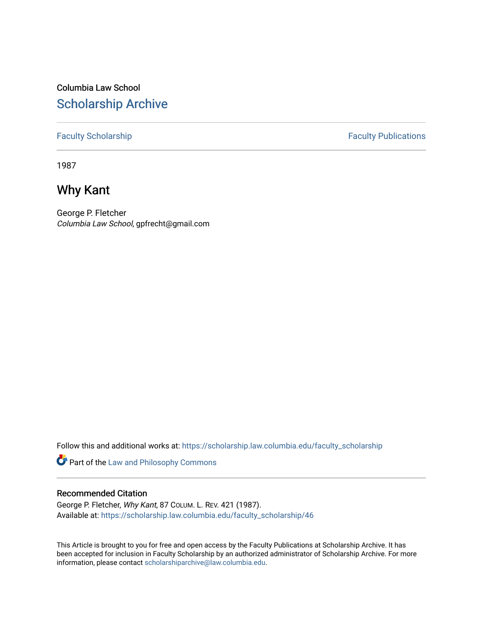## Columbia Law School [Scholarship Archive](https://scholarship.law.columbia.edu/)

### [Faculty Scholarship](https://scholarship.law.columbia.edu/faculty_scholarship) **Faculty Publications**

1987

# Why Kant

George P. Fletcher Columbia Law School, gpfrecht@gmail.com

Follow this and additional works at: [https://scholarship.law.columbia.edu/faculty\\_scholarship](https://scholarship.law.columbia.edu/faculty_scholarship?utm_source=scholarship.law.columbia.edu%2Ffaculty_scholarship%2F46&utm_medium=PDF&utm_campaign=PDFCoverPages)

Part of the [Law and Philosophy Commons](http://network.bepress.com/hgg/discipline/1299?utm_source=scholarship.law.columbia.edu%2Ffaculty_scholarship%2F46&utm_medium=PDF&utm_campaign=PDFCoverPages) 

#### Recommended Citation

George P. Fletcher, Why Kant, 87 COLUM. L. REV. 421 (1987). Available at: [https://scholarship.law.columbia.edu/faculty\\_scholarship/46](https://scholarship.law.columbia.edu/faculty_scholarship/46?utm_source=scholarship.law.columbia.edu%2Ffaculty_scholarship%2F46&utm_medium=PDF&utm_campaign=PDFCoverPages) 

This Article is brought to you for free and open access by the Faculty Publications at Scholarship Archive. It has been accepted for inclusion in Faculty Scholarship by an authorized administrator of Scholarship Archive. For more information, please contact [scholarshiparchive@law.columbia.edu.](mailto:scholarshiparchive@law.columbia.edu)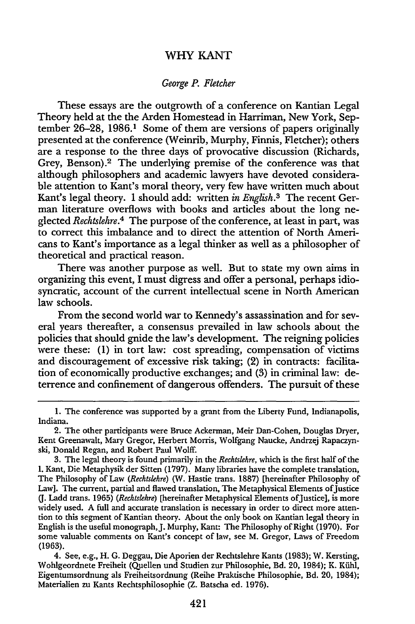#### WHY KANT

#### *George P. Fletcher*

These essays are the outgrowth of a conference on Kantian Legal Theory held at the the Arden Homestead in Harriman, New York, September 26-28, 1986.1 Some of them are versions of papers originally presented at the conference (Weinrib, Murphy, Finnis, Fletcher); others are a response to the three days of provocative discussion (Richards, Grey, Benson).2 The underlying premise of the conference was that although philosophers and academic lawyers have devoted considerable attention to Kant's moral theory, very few have written much about Kant's legal theory. I should add: written *in English.3* The recent German literature overflows with books and articles about the long neglected *Rechtslehre.4* The purpose of the conference, at least in part, was to correct this imbalance and to direct the attention of North Americans to Kant's importance as a legal thinker as well as a philosopher of theoretical and practical reason.

There was another purpose as well. But to state my own aims in organizing this event, I must digress and offer a personal, perhaps idiosyncratic, account of the current intellectual scene in North American law schools.

From the second world war to Kennedy's assassination and for several years thereafter, a consensus prevailed in law schools about the policies that should gnide the law's development. The reigning policies were these: (1) in tort law: cost spreading, compensation of victims and discouragement of excessive risk taking; (2) in contracts: facilitation of economically productive exchanges; and (3) in criminal law: deterrence and confinement of dangerous offenders. The pursuit of these

<sup>1.</sup> The conference was supported by a grant from the Liberty Fund, Indianapolis, Indiana.

<sup>2.</sup> The other participants were Bruce Ackerman, Meir Dan-Cohen, Douglas Dryer, Kent Greenawalt, Mary Gregor, Herbert Morris, Wolfgang Naucke, Andrzej Rapaczynski, Donald Regan, and Robert Paul Wolff.

**<sup>3.</sup>** The legal theory is found primarily in the *Rechtslehre,* which is the first half of the I. Kant, Die Metaphysik der Sitten (1797). Many libraries have the complete translation, The Philosophy of Law *(Rechtslehre)* (W. Hastie trans. 1887) [hereinafter Philosophy of Law]. The current, partial and flawed translation, The Metaphysical Elements ofJustice *(J.* Ladd trans. 1965) *(Rechtslehre)* [hereinafter Metaphysical Elements ofJustice], is more widely used. A full and accurate translation is necessary in order to direct more attention to this segment of Kantian theory. About the only book on Kantian legal theory in English is the useful monograph, J. Murphy, Kant: The Philosophy of Right (1970). For some valuable comments on Kant's concept of law, see M. Gregor, Laws of Freedom (1963).

<sup>4.</sup> See, e.g., H. G. Deggau, Die Aporien der Rechtslehre Kants (1983); W. Kersting, Wohlgeordnete Freiheit (Quellen und Studien zur Philosophie, Bd. 20, 1984); K. Kiihl, Eigentumsordnung als Freiheitsordnung (Reihe Praktische Philosophie, Bd. 20, 1984); Materialien zu Kants Rechtsphilosophie (Z. Batscha ed. 1976).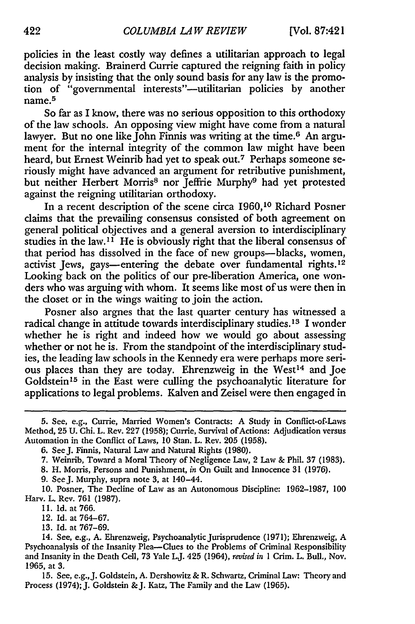policies in the least costly way defines a utilitarian approach to legal decision making. Brainerd Currie captured the reigning faith in policy analysis by insisting that the only sound basis for any law is the promotion of "governmental interests"-utilitarian policies by another name.<sup>5</sup>

So far as I know, there was no serious opposition to this orthodoxy of the law schools. An opposing view might have come from a natural lawyer. But no one like John Finnis was writing at the time.<sup>6</sup> An argument for the internal integrity of the common law might have been heard, but Ernest Weinrib had yet to speak out.<sup>7</sup> Perhaps someone seriously might have advanced an argument for retributive punishment, but neither Herbert Morris<sup>8</sup> nor Jeffrie Murphy<sup>9</sup> had yet protested against the reigning utilitarian orthodoxy.

In a recent description of the scene circa **1960,10** Richard Posner claims that the prevailing consensus consisted of both agreement on general political objectives and a general aversion to interdisciplinary studies in the law.<sup>11</sup> He is obviously right that the liberal consensus of that period has dissolved in the face of new groups--blacks, women, activist Jews, gays—entering the debate over fundamental rights.<sup>12</sup> Looking back on the politics of our pre-liberation America, one wonders who was arguing with whom. It seems like most of us were then in the closet or in the wings waiting to join the action.

Posner also argnes that the last quarter century has witnessed a radical change in attitude towards interdisciplinary studies. 13 I wonder whether he is right and indeed how we would go about assessing whether or not he is. From the standpoint of the interdisciplinary studies, the leading law schools in the Kennedy era were perhaps more serious places than they are today. Ehrenzweig in the West<sup>14</sup> and Joe Goldstein<sup>15</sup> in the East were culling the psychoanalytic literature for applications to legal problems. Kalven and Zeisel were then engaged in

**9.** SeeJ. Murphy, supra note **3,** at 140-44.

**10.** Posner, The Decline of Law as an Autonomous Discipline: **1962-1987, 100** Harv. L. Rev. **761 (1987).**

- **11. Id.** at **766.**
- 12. Id. at **764-67.**
- **13.** Id. at **767-69.**

**15.** See, e.g.,J. Goldstein, **A.** Dershowitz & R. Schwartz, Criminal Law: Theory and Process (1974);J. Goldstein **&J.** Katz, The Family and the **Law (1965).**

**<sup>5.</sup>** See, e.g., Currie, Married Women's Contracts: A Study in Conflict-of-Laws Method, 25 U. Chi. L. Rev. 227 (1958); Currie, Survival of Actions: Adjudication versus Automation in the Conflict of Laws, 10 Stan. L. Rev. **205** (1958).

<sup>6.</sup> SeeJ. Finnis, Natural Law and Natural Rights (1980).

**<sup>7.</sup>** Weinrib, Toward a Moral Theory of Negligence Law, 2 Law & Phil. **37 (1983).**

**<sup>8.</sup>** H. Morris, Persons and Punishment, *in* On Guilt and Innocence **31 (1976).**

<sup>14.</sup> See, e.g., **A.** Ehrenzweig, Psychoanalytic Jurisprudence **(1971);** Ehrenzweig, **A** Psychoanalysis of the Insanity Plea-Clues to the Problems of Criminal Responsibility and Insanity in the Death Cell, **73** Yale **LJ.** 425 (1964), *revised in* **1** Crim. L. Bull., Nov. **1965,** at **3.**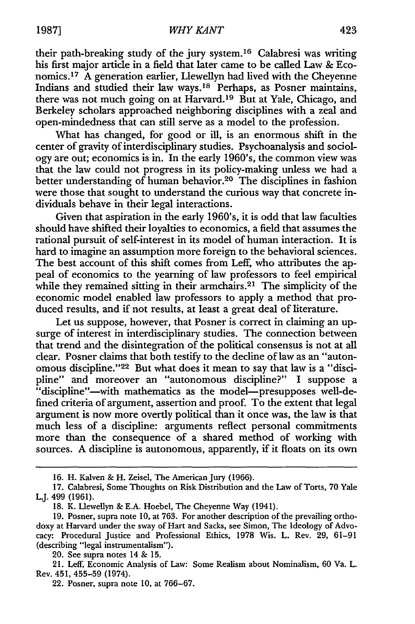their path-breaking study of the jury system. 16 Calabresi was writing his first major article in a field that later came to be called Law & Economics.<sup>17</sup> A generation earlier, Llewellyn had lived with the Cheyenne Indians and studied their law ways.<sup>18</sup> Perhaps, as Posner maintains, there was not much going on at Harvard.<sup>19</sup> But at Yale, Chicago, and Berkeley scholars approached neighboring disciplines with a zeal and open-mindedness that can still serve as a model to the profession.

What has changed, for good or ill, is an enormous shift in the center of gravity of interdisciplinary studies. Psychoanalysis and sociology are out; economics is in. In the early 1960's, the common view was that the law could not progress in its policy-making unless we had a better understanding of human behavior.20 The disciplines in fashion were those that sought to understand the curious way that concrete individuals behave in their legal interactions.

Given that aspiration in the early 1960's, it is odd that law faculties should have shifted their loyalties to economics, a field that assumes the rational pursuit of self-interest in its model of human interaction. It is hard to imagine an assumption more foreign to the behavioral sciences. The best account of this shift comes from Leff, who attributes the appeal of economics to the yearning of law professors to feel empirical while they remained sitting in their armchairs.<sup>21</sup> The simplicity of the economic model enabled law professors to apply a method that produced results, and if not results, at least a great deal of literature.

Let us suppose, however, that Posner is correct in claiming an upsurge of interest in interdisciplinary studies. The connection between that trend and the disintegration of the political consensus is not at all clear. Posner claims that both testify to the decline of law as an "autonomous discipline."<sup>22</sup> But what does it mean to say that law is a "discipline" and moreover an "autonomous discipline?" I suppose a "discipline"-with mathematics as the model-presupposes well-defined criteria of argument, assertion and proof. To the extent that legal argument is now more overtly political than it once was, the law is that much less of a discipline: arguments reflect personal commitments more than the consequence of a shared method of working with sources. A discipline is autonomous, apparently, if it floats on its own

20. See supra notes 14 & **15.**

22. Posner, supra note **10,** at **766-67.**

**<sup>16.</sup>** H. Kalven & H. Zeisel, The American Jury (1966).

<sup>17.</sup> Calabresi, Some Thoughts on Risk Distribution and the Law of Torts, 70 Yale LJ. 499 **(1961).**

**<sup>18.</sup>** K. Llewellyn & **E.A.** Hoebel, The Cheyenne Way (1941).

**<sup>19.</sup>** Posner, supra note **10,** at 763. For another description of the prevailing orthodoxy at Harvard under the sway of Hart and Sacks, see Simon, The Ideology of Advocacy: Procedural justice and Professional Ethics, **1978** Wis. L. Rev. **29, 61-91** (describing "legal instrumentalism").

**<sup>21.</sup>** Leff, Economic Analysis of Law: Some Realism about Nominalism, **60** Va. L. Rev. 451, **455-59** (1974).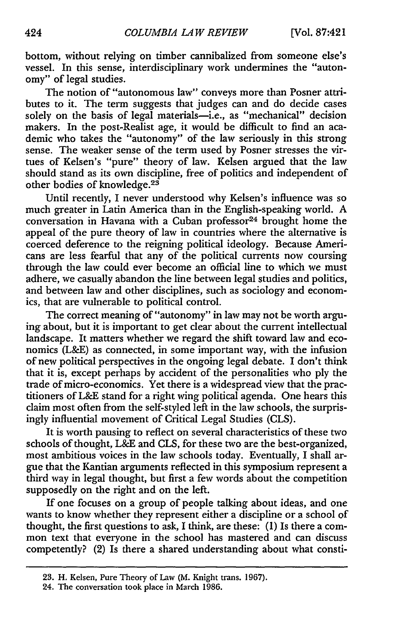bottom, without relying on timber cannibalized from someone else's vessel. In this sense, interdisciplinary work undermines the "autonomy" of legal studies.

The notion of "autonomous law" conveys more than Posner attributes to it. The term suggests that judges can and do decide cases solely on the basis of legal materials-i.e., as "mechanical" decision makers. In the post-Realist age, it would be difficult to find an academic who takes the "autonomy" of the law seriously in this strong sense. The weaker sense of the term used by Posner stresses the virtues of Kelsen's "pure" theory of law. Kelsen argued that the law should stand as its own discipline, free of politics and independent of other bodies of knowledge.<sup>23</sup>

Until recently, I never understood why Kelsen's influence was so much greater in Latin America than in the English-speaking world. A conversation in Havana with a Cuban professor $24$  brought home the appeal of the pure theory of law in countries where the alternative is coerced deference to the reigning political ideology. Because Americans are less fearful that any of the political currents now coursing through the law could ever become an official line to which we must adhere, we casually abandon the line between legal studies and politics, and between law and other disciplines, such as sociology and economics, that are vulnerable to political control.

The correct meaning of "autonomy" in law may not be worth arguing about, but it is important to get clear about the current intellectual landscape. It matters whether we regard the shift toward law and economics (L&E) as connected, in some important way, with the infusion of new political perspectives in the ongoing legal debate. I don't think that it is, except perhaps by accident of the personalities who ply the trade of micro-economics. Yet there is a widespread view that the practitioners of L&E stand for a right wing political agenda. One hears this claim most often from the self-styled left in the law schools, the surprisingly influential movement of Critical Legal Studies (CLS).

It is worth pausing to reflect on several characteristics of these two schools of thought, L&E and CLS, for these two are the best-organized, most ambitious voices in the law schools today. Eventually, I shall argue that the Kantian arguments reflected in this symposium represent a third way in legal thought, but first a few words about the competition supposedly on the right and on the left.

If one focuses on a group of people talking about ideas, and one wants to know whether they represent either a discipline or a school of thought, the first questions to ask, I think, are these: **(1)** Is there a common text that everyone in the school has mastered and can discuss competently? (2) Is there a shared understanding about what consti-

**<sup>23.</sup>** H. Kelsen, Pure Theory of Law (M. Knight trans. **1967).**

<sup>24.</sup> The conversation took place in March **1986.**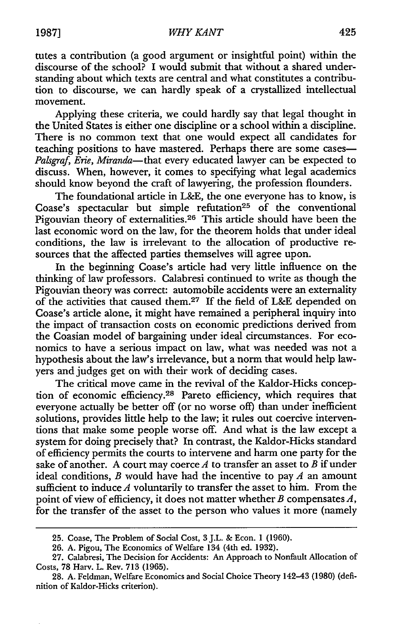tutes a contribution (a good argument or insightful point) within the discourse of the school? I would submit that without a shared understanding about which texts are central and what constitutes a contribution to discourse, we can hardly speak of a crystallized intellectual movement.

Applying these criteria, we could hardly say that legal thought in the United States is either one discipline or a school within a discipline. There is no common text that one would expect all candidates for teaching positions to have mastered. Perhaps there are some cases— *Palsgraf, Erie, Miranda-that* every educated lawyer can be expected to discuss. When, however, it comes to specifying what legal academics should know beyond the craft of lawyering, the profession flounders.

The foundational article in L&E, the one everyone has to know, is Coase's spectacular but simple refutation25 of the conventional Pigouvian theory of externalities.<sup>26</sup> This article should have been the last economic word on the law, for the theorem holds that under ideal conditions, the law is irrelevant to the allocation of productive resources that the affected parties themselves will agree upon.

In the beginning Coase's article had very little influence on the thinking of law professors. Calabresi continued to write as though the Pigouvian theory was correct: automobile accidents were an externality of the activities that caused them.27 If the field of L&E depended on Coase's article alone, it might have remained a peripheral inquiry into the impact of transaction costs on economic predictions derived from the Coasian model of bargaining under ideal circumstances. For economics to have a serious impact on law, what was needed was not a hypothesis about the law's irrelevance, but a norm that would help lawyers and judges get on with their work of deciding cases.

The critical move came in the revival of the Kaldor-Hicks conception of economic efficiency. 28 Pareto efficiency, which requires that everyone actually be better off (or no worse off) than under inefficient solutions, provides little help to the law; it rules out coercive interventions that make some people worse off. And what is the law except a system for doing precisely that? In contrast, the Kaldor-Hicks standard of efficiency permits the courts to intervene and harm one party for the sake of another. A court may coerce *A* to transfer an asset to *B* if under ideal conditions, *B* would have had the incentive to pay *4* an amount sufficient to induce *A* voluntarily to transfer the asset to him. From the point of view of efficiency, it does not matter whether *B* compensates *4,* for the transfer of the asset to the person who values it more (namely

**<sup>25.</sup>** Coase, The Problem of Social Cost, 3J.L. & Econ. 1 **(1960).**

**<sup>26.</sup> A.** Pigou, The Economics of Welfare 134 (4th ed. **1932).**

**<sup>27.</sup>** Calabresi, The Decision for Accidents: An Approach to Nonfault Allocation of Costs, **78** Harv. L. Rev. **713 (1965).**

**<sup>28.</sup> A.** Feldman, Welfare Economics and Social Choice Theory 142-43 **(1980)** (definition of Kaldor-Hicks criterion).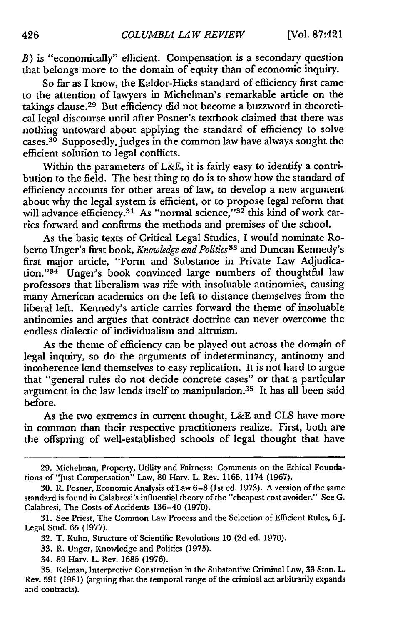*B)* is "economically" efficient. Compensation is a secondary question that belongs more to the domain of equity than of economic inquiry.

So far as I know, the Kaldor-Hicks standard of efficiency first came to the attention of lawyers in Michelman's remarkable article on the takings clause.29 But efficiency did not become a buzzword in theoretical legal discourse until after Posner's textbook claimed that there was nothing untoward about applying the standard of efficiency to solve cases. $30$  Supposedly, judges in the common law have always sought the efficient solution to legal conflicts.

Within the parameters of L&E, it is fairly easy to identify a contribution to the field. The best thing to do is to show how the standard of efficiency accounts for other areas of law, to develop a new argument about why the legal system is efficient, or to propose legal reform that will advance efficiency.<sup>31</sup> As "normal science," $3^2$  this kind of work carries forward and confirms the methods and premises of the school.

As the basic texts of Critical Legal Studies, I would nominate Roberto Unger's first book, *Knowledge and Politics*<sup>33</sup> and Duncan Kennedy's first major article, "Form and Substance in Private Law Adjudication."<sup>34</sup> Unger's book convinced large numbers of thoughtful law professors that liberalism was rife with insoluable antinomies, causing many American academics on the left to distance themselves from the liberal left. Kennedy's article carries forward the theme of insoluable antinomies and argues that contract doctrine can never overcome the endless dialectic of individualism and altruism.

As the theme of efficiency can be played out across the domain of legal inquiry, so do the arguments of indeterminancy, antinomy and incoherence lend themselves to easy replication. It is not hard to argue that "general rules do not decide concrete cases" or that a particular argument in the law lends itself to manipulation.<sup>35</sup> It has all been said before.

As the two extremes in current thought, **L&E** and **CLS** have more in common than their respective practitioners realize. First, both are the offspring of well-established schools of legal thought that have

<sup>29.</sup> Michelman, Property, Utility and Fairness: Comments on the Ethical Foundations of 'Just Compensation" Law, 80 Harv. L. Rev. **1165,** 1174 (1967).

**<sup>30.</sup>** R. Posner, Economic Analysis of Law 6-8 (1st ed. 1973). A version of the same standard is found in Calabresi's influential theory of the "cheapest cost avoider." See **G.** Calabresi, The Costs of Accidents 136-40 (1970).

<sup>31.</sup> See Priest, The Common Law Process and the Selection of Efficient Rules, 6J. Legal Stud. **65** (1977).

<sup>32.</sup> T. Kuhn, Structure of Scientific Revolutions **10** (2d ed. 1970).

<sup>33.</sup> R. Unger, Knowledge and Politics (1975).

<sup>34. 89</sup> Harv. L. Rev. **1685** (1976).

**<sup>35.</sup>** Kelman, Interpretive Construction in the Substantive Criminal Law, 33 Stan. L. Rev. **591** (1981) (arguing that the temporal range of the criminal act arbitrarily expands and contracts).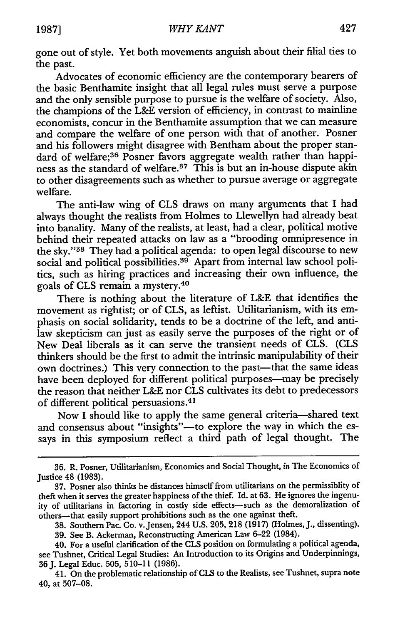gone out of style. Yet both movements anguish about their filial ties to the past.

Advocates of economic efficiency are the contemporary bearers of the basic Benthamite insight that all legal rules must serve a purpose and the only sensible purpose to pursue is the welfare of society. Also, the champions of the **L&E** version of efficiency, in contrast to mainline economists, concur in the Benthamite assumption that we can measure and compare the welfare of one person with that of another. Posner and his followers might disagree with Bentham about the proper standard of welfare;<sup>36</sup> Posner favors aggregate wealth rather than happiness as the standard of welfare.<sup>37</sup> This is but an in-house dispute akin to other disagreements such as whether to pursue average or aggregate welfare.

The anti-law wing of **CLS** draws on many arguments that I had always thought the realists from Holmes to Llewellyn had already beat into banality. Many of the realists, at least, had a clear, political motive behind their repeated attacks on law as a "brooding omnipresence in the **sky."<sup>38</sup>**They had a political agenda: to open legal discourse to new social and political possibilities.<sup>39</sup> Apart from internal law school politics, such as hiring practices and increasing their own influence, the goals of **CLS** remain a mystery. <sup>40</sup>

There is nothing about the literature of L&E that identifies the movement as rightist; or of CLS, as leftist. Utilitarianism, with its emphasis on social solidarity, tends to be a doctrine of the left, and antilaw skepticism can just as easily serve the purposes of the right or of New Deal liberals as it can serve the transient needs of CLS. (CLS thinkers should be the first to admit the intrinsic manipulability of their own doctrines.) This very connection to the past-that the same ideas have been deployed for different political purposes-may be precisely the reason that neither L&E nor CLS cultivates its debt to predecessors of different political persuasions. <sup>41</sup>

Now I should like to apply the same general criteria-shared text and consensus about "insights"-to explore the way in which the essays in this symposium reflect a third path of legal thought. The

**41.** On the problematic relationship of **CLS** to the Realists, see Tushnet, supra note 40, at **507-08.**

**<sup>36.</sup>** R. Posner, Utilitarianism, Economics and Social Thought, *in* The Economics of Justice 48 (1983).

**<sup>37.</sup>** Posner also thinks he distances himself from utilitarians on the permissiblity of theft when it serves the greater happiness of the thief. Id. at **63.** He ignores the ingenuity of utilitarians in factoring in costly side effects-such as the demoralization of others-that easily support prohibitions such as the one against theft.

**<sup>38.</sup>** Southern Pac. Co. v.Jensen, 244 U.S. **205, 218** (1917) (Holmes, J., dissenting).

**<sup>39.</sup>** See B. Ackerman, Reconstructing American Law 6-22 (1984).

<sup>40.</sup> For a useful clarification of the **CLS** position on formulating a political agenda, see Tushnet, Critical Legal Studies: An Introduction to its Origins and Underpinnings, **36J.** Legal Educ. **505, 510-11 (1986).**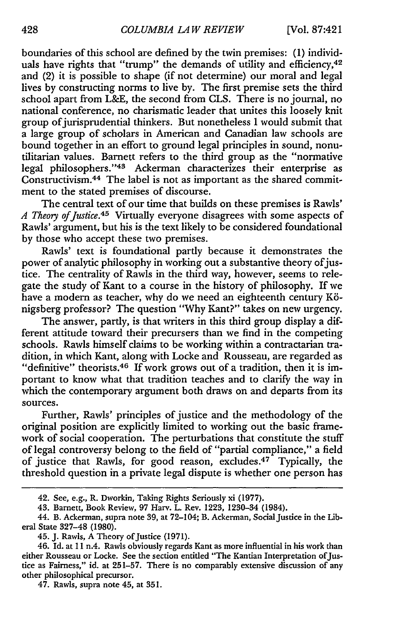boundaries of this school are defined by the twin premises: (1) individuals have rights that "trump" the demands of utility and efficiency,<sup>42</sup> and (2) it is possible to shape (if not determine) our moral and legal lives by constructing norms to live **by.** The first premise sets the third school apart from L&E, the second from CLS. There is no journal, no national conference, no charismatic leader that unites this loosely knit group of jurisprudential thinkers. But nonetheless 1 would submit that a large group of scholars in American and Canadian law schools are bound together in an effort to ground legal principles in sound, nonutilitarian values. Barnett refers to the third group as the "normative legal philosophers."43 Ackerman characterizes their enterprise as Constructivism. 44 The label is not as important as the shared commitment to the stated premises of discourse.

The central text of our time that builds on these premises is Rawls' *A Theory of Justice.*<sup>45</sup> Virtually everyone disagrees with some aspects of Rawls' argument, but his is the text likely to be considered foundational by those who accept these two premises.

Rawls' text is foundational partly because it demonstrates the power of analytic philosophy in working out a substantive theory of justice. The centrality of Rawls in the third way, however, seems to relegate the study of Kant to a course in the history of philosophy. If we have a modern as teacher, why do we need an eighteenth century Königsberg professor? The question "Why Kant?" takes on new urgency.

The answer, partly, is that writers in this third group display a different attitude toward their precursers than we find in the competing schools. Rawls himself claims to be working within a contractarian tradition, in which Kant, along with Locke and Rousseau, are regarded as "definitive" theorists.<sup>46</sup> If work grows out of a tradition, then it is important to know what that tradition teaches and to clarify the way in which the contemporary argument both draws on and departs from its sources.

Further, Rawls' principles of justice and the methodology of the original position are explicitly limited to working out the basic framework of social cooperation. The perturbations that constitute the stuff of legal controversy belong to the field of "partial compliance," a field of justice that Rawls, for good reason, excludes.<sup>47</sup> Typically, the threshold question in a private legal dispute is whether one person has

47. Rawls, supra note 45, at 351.

<sup>42.</sup> See, e.g., R. Dworkin, Taking Rights Seriously xi (1977).

<sup>43.</sup> Barnett, Book Review, 97 Harv. L. Rev. 1223, 1230-34 (1984).

<sup>44.</sup> B. Ackerman, supra note 39, at 72-104; B. Ackerman, Social Justice in the Liberal State 327-48 (1980).

<sup>45.</sup> J. Rawls, A Theory of Justice (1971).

<sup>46.</sup> Id. at **I** 1 n.4. Rawls obviously regards Kant as more influential in his work than either Rousseau or Locke. See the section entitled "The Kantian Interpretation of Justice as Fairness," id. at 251-57. There is no comparably extensive discussion of any other philosophical precursor.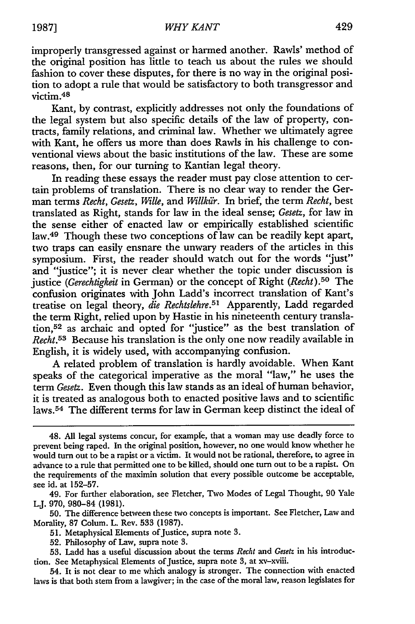improperly transgressed against or harmed another. Rawls' method of the original position has little to teach us about the rules we should fashion to cover these disputes, for there is no way in the original position to adopt a rule that would be satisfactory to both transgressor and victim. <sup>48</sup>

Kant, by contrast, explicitly addresses not only the foundations of the legal system but also specific details of the law of property, contracts, family relations, and criminal law. Whether we ultimately agree with Kant, he offers us more than does Rawls in his challenge to conventional views about the basic institutions of the law. These are some reasons, then, for our turning to Kantian legal theory.

In reading these essays the reader must pay close attention to certain problems of translation. There is no clear way to render the German terms *Recht, Gesetz, Wille,* and *Willkiir.* In brief, the term *Recht,* best translated as Right, stands for law in the ideal sense; *Gesetz,* for law in the sense either of enacted law or empirically established scientific law.<sup>49</sup> Though these two conceptions of law can be readily kept apart, two traps can easily ensnare the unwary readers of the articles in this symposium. First, the reader should watch out for the words "just" and 'justice"; it is never clear whether the topic under discussion is justice *(Gerechtigkeit* in German) or the concept of Right *(Recht*).<sup>50</sup> The confusion originates with John Ladd's incorrect translation of Kant's treatise on legal theory, *die Rechtslehre.51* Apparently, Ladd regarded the term Right, relied upon by Hastie in his nineteenth century translation,52 as archaic and opted for "justice" as the best translation of *Recht.53* Because his translation is the only one now readily available in English, it is widely used, with accompanying confusion.

A related problem of translation is hardly avoidable. When Kant speaks of the categorical imperative as the moral "law," he uses the term *Gesetz.* Even though this law stands as an ideal of human behavior, it is treated as analogous both to enacted positive laws and to scientific laws. 54 The different terms for law in German keep distinct the ideal of

<sup>48.</sup> **All** legal systems concur, for example, that a woman may use deadly force to prevent being raped. In the original position, however, no one would know whether he would turn out to be a rapist or a victim. It would not be rational, therefore, to agree in advance to a rule that permitted one to be killed, should one turn out to be a rapist. On the requirements of the maximin solution that every possible outcome be acceptable, see id. at **152-57.**

<sup>49.</sup> For further elaboration, see Fletcher, Two Modes of Legal Thought, **90** Yale LJ. **970,** 980-84 **(1981).**

<sup>50.</sup> The difference between these two concepts is important. See Fletcher, Law and Morality, 87 Colum. L. Rev. 533 (1987).

<sup>51.</sup> Metaphysical Elements ofJustice, supra note 3.

<sup>52.</sup> Philosophy of Law, supra note 3.

<sup>53.</sup> Ladd has a useful discussion about the terms *Recht* and *Gesetz* in his introduction. See Metaphysical Elements of Justice, supra note 3, at xv-xviii.

<sup>54.</sup> It is not clear to me which analogy is stronger. The connection with enacted laws is that both stem from a lawgiver; in the case of the moral law, reason legislates for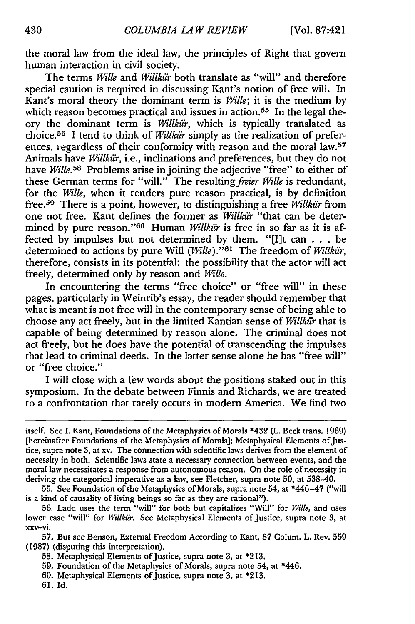the moral law from the ideal law, the principles of Right that govern human interaction in civil society.

The terms *Wille* and *Willkir* both translate as "will" and therefore special caution is required in discussing Kant's notion of free will. In Kant's moral theory the dominant term is *Wille;* it is the medium by which reason becomes practical and issues in action.<sup>55</sup> In the legal theory the dominant term is *Willkür*, which is typically translated as choice.<sup>56</sup> I tend to think of *Willkür* simply as the realization of preferences, regardless of their conformity with reason and the moral law.<sup>57</sup> Animals have *Willkiir,* i.e., inclinations and preferences, but they do not have *Wille.*<sup>58</sup> Problems arise in joining the adjective "free" to either of these German terms for "will." The resulting freier Wille is redundant, for the *Wille,* when it renders pure reason practical, is by definition free. 59 There is a point, however, to distinguishing a free *Willklyr* from one not free. Kant defines the former as *Willkur* "that can be determined by pure reason."<sup>60</sup> Human *Willkür* is free in so far as it is affected by impulses but not determined by them. "[I]t can . . . be determined to actions by pure Will *(Wille)*."<sup>61</sup> The freedom of *Willkür*, therefore, consists in its potential: the possibility that the actor will act freely, determined only by reason and *Wille.*

In encountering the terms "free choice" or "free will" in these pages, particularly in Weinrib's essay, the reader should remember that what is meant is not free will in the contemporary sense of being able to choose any act freely, but in the limited Kantian sense of *Willkür* that is capable of being determined by reason alone. The criminal does not act freely, but he does have the potential of transcending the impulses that lead to criminal deeds. In the latter sense alone he has "free will" or "free choice."

I will close with a few words about the positions staked out in this symposium. In the debate between Finnis and Richards, we are treated to a confrontation that rarely occurs in modem America. We find two

55. See Foundation of the Metaphysics of Morals, supra note 54, at \*446-47 ("will is a kind of causality of living beings so far as they are rational").

**56.** Ladd uses the term "will" for both but capitalizes "Will" for *Wille,* and uses lower case "will" for *Willkür*. See Metaphysical Elements of Justice, supra note 3, at xxv-vi.

**57.** But see Benson, External Freedom According to Kant, 87 Colum. L. Rev. **559** (1987) (disputing this interpretation).

58. Metaphysical Elements of Justice, supra note 3, at **\*213.**

59. Foundation of the Metaphysics of Morals, supra note 54, at \*446.

60. Metaphysical Elements of Justice, supra note 3, at \*213.

61. Id.

itself. See I. Kant, Foundations of the Metaphysics of Morals \*432 (L. Beck trans. 1969) [hereinafter Foundations of the Metaphysics of Morals]; Metaphysical Elements of Justice, supra note 3, at xv. The connection with scientific laws derives from the element of necessity in both. Scientific laws state a necessary connection between events, and the moral law necessitates a response from autonomous reason. On the role of necessity in deriving the categorical imperative as a law, see Fletcher, supra note 50, at 538-40.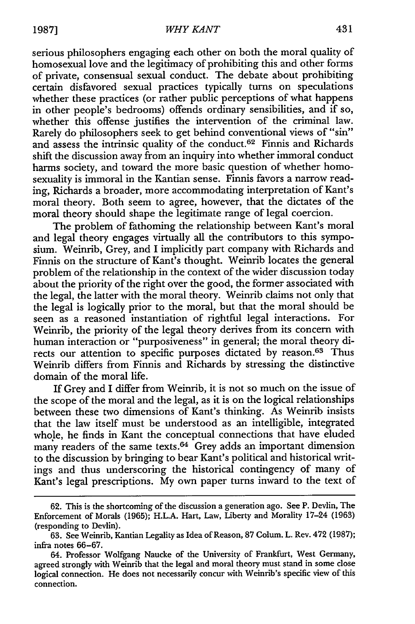serious philosophers engaging each other on both the moral quality of homosexual love and the legitimacy of prohibiting this and other forms of private, consensual sexual conduct. The debate about prohibiting certain disfavored sexual practices typically turns on speculations whether these practices (or rather public perceptions of what happens in other people's bedrooms) offends ordinary sensibilities, and if so, whether this offense justifies the intervention of the criminal law. Rarely do philosophers seek to get behind conventional views of "sin" and assess the intrinsic quality of the conduct. 62 Finnis and Richards shift the discussion away from an inquiry into whether immoral conduct harms society, and toward the more basic question of whether homosexuality is immoral in the Kantian sense. Finnis favors a narrow reading, Richards a broader, more accommodating interpretation of Kant's moral theory. Both seem to agree, however, that the dictates of the moral theory should shape the legitimate range of legal coercion.

The problem of fathoming the relationship between Kant's moral and legal theory engages virtually all the contributors to this symposium. Weinrib, Grey, and I implicitly part company with Richards and Finnis on the structure of Kant's thought. Weinrib locates the general problem of the relationship in the context of the wider discussion today about the priority of the right over the good, the former associated with the legal, the latter with the moral theory. Weinrib claims not only that the legal is logically prior to the moral, but that the moral should be seen as a reasoned instantiation of rightful legal interactions. For Weinrib, the priority of the legal theory derives from its concern with human interaction or "purposiveness" in general; the moral theory directs our attention to specific purposes dictated by reason.<sup>63</sup> Thus Weinrib differs from Finnis and Richards by stressing the distinctive domain of the moral life.

If Grey and I differ from Weinrib, it is not so much on the issue of the scope of the moral and the legal, as it is on the logical relationships between these two dimensions of Kant's thinking. As Weinrib insists that the law itself must be understood as an intelligible, integrated whole, he finds in Kant the conceptual connections that have eluded many readers of the same texts.<sup>64</sup> Grey adds an important dimension to the discussion by bringing to bear Kant's political and historical writings and thus underscoring the historical contingency of many of Kant's legal prescriptions. My own paper turns inward to the text of

<sup>62.</sup> This is the shortcoming of the discussion a generation ago. See P. Devlin, The Enforcement of Morals (1965); H.L.A. Hart, Law, Liberty and Morality 17-24 (1963) (responding to Devlin).

<sup>63.</sup> See Weinrib, Kantian Legality as Idea of Reason, 87 Colum. L. Rev. 472 (1987); infra notes 66-67.

<sup>64.</sup> Professor Wolfgang Naucke of the University of Frankfurt, West Germany, agreed strongly with Weinrib that the legal and moral theory must stand in some close logical connection. He does not necessarily concur with Weinrib's specific view of this connection.